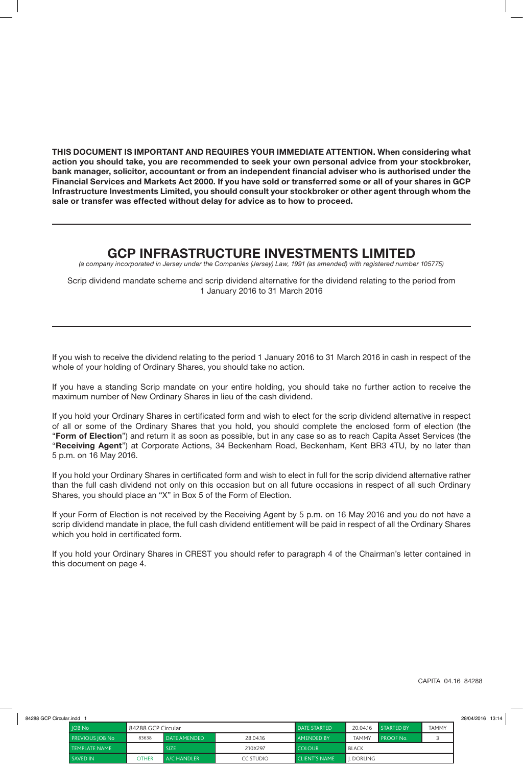**THIS DOCUMENT IS IMPORTANT AND REQUIRES YOUR IMMEDIATE ATTENTION. When considering what action you should take, you are recommended to seek your own personal advice from your stockbroker, bank manager, solicitor, accountant or from an independent financial adviser who is authorised under the Financial Services and Markets Act 2000. If you have sold or transferred some or all of your shares in GCP Infrastructure Investments Limited, you should consult your stockbroker or other agent through whom the sale or transfer was effected without delay for advice as to how to proceed.**

## **GCP INFRASTRUCTURE INVESTMENTS LIMITED**

*(a company incorporated in Jersey under the Companies (Jersey) Law, 1991 (as amended) with registered number 105775)*

Scrip dividend mandate scheme and scrip dividend alternative for the dividend relating to the period from 1 January 2016 to 31 March 2016

If you wish to receive the dividend relating to the period 1 January 2016 to 31 March 2016 in cash in respect of the whole of your holding of Ordinary Shares, you should take no action.

If you have a standing Scrip mandate on your entire holding, you should take no further action to receive the maximum number of New Ordinary Shares in lieu of the cash dividend.

If you hold your Ordinary Shares in certificated form and wish to elect for the scrip dividend alternative in respect of all or some of the Ordinary Shares that you hold, you should complete the enclosed form of election (the "**Form of Election**") and return it as soon as possible, but in any case so as to reach Capita Asset Services (the "**Receiving Agent**") at Corporate Actions, 34 Beckenham Road, Beckenham, Kent BR3 4TU, by no later than 5 p.m. on 16 May 2016.

If you hold your Ordinary Shares in certificated form and wish to elect in full for the scrip dividend alternative rather than the full cash dividend not only on this occasion but on all future occasions in respect of all such Ordinary Shares, you should place an "X" in Box 5 of the Form of Election.

If your Form of Election is not received by the Receiving Agent by 5 p.m. on 16 May 2016 and you do not have a scrip dividend mandate in place, the full cash dividend entitlement will be paid in respect of all the Ordinary Shares which you hold in certificated form.

If you hold your Ordinary Shares in CREST you should refer to paragraph 4 of the Chairman's letter contained in this document on page 4.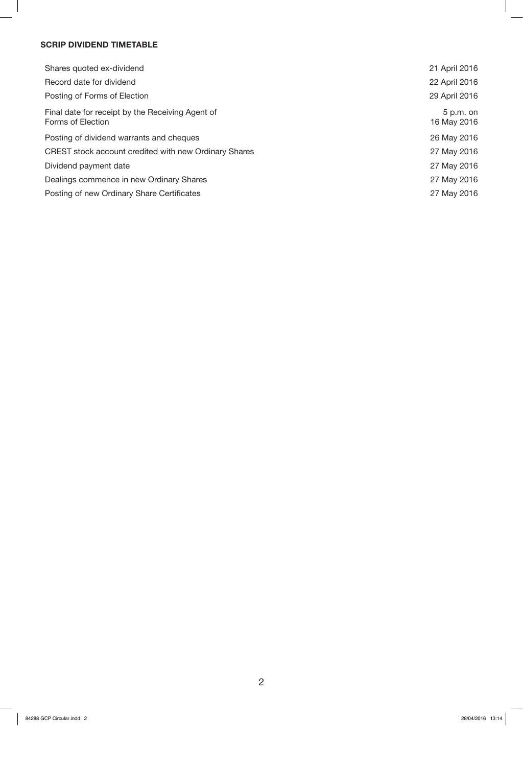#### **SCRIP DIVIDEND TIMETABLE**

| Shares quoted ex-dividend                                             | 21 April 2016              |
|-----------------------------------------------------------------------|----------------------------|
| Record date for dividend                                              | 22 April 2016              |
| Posting of Forms of Election                                          | 29 April 2016              |
| Final date for receipt by the Receiving Agent of<br>Forms of Election | $5 p.m.$ on<br>16 May 2016 |
| Posting of dividend warrants and cheques                              | 26 May 2016                |
| CREST stock account credited with new Ordinary Shares                 | 27 May 2016                |
| Dividend payment date                                                 | 27 May 2016                |
| Dealings commence in new Ordinary Shares                              | 27 May 2016                |
| Posting of new Ordinary Share Certificates                            | 27 May 2016                |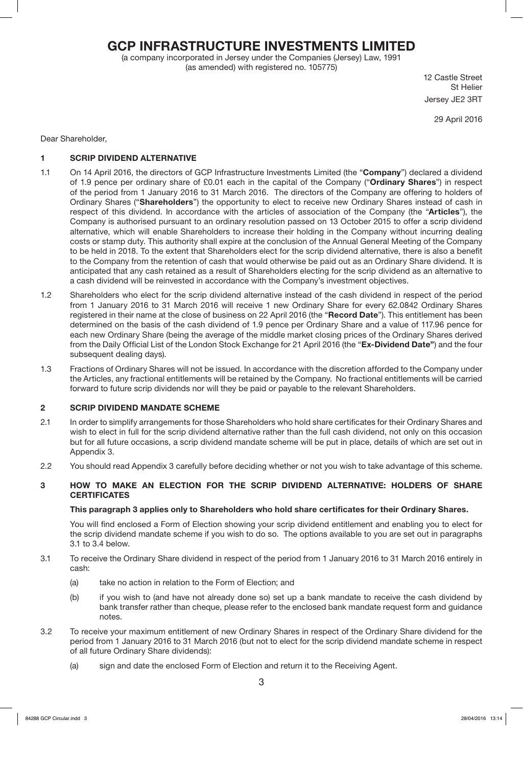## **GCP INFRASTRUCTURE INVESTMENTS LIMITED**

(a company incorporated in Jersey under the Companies (Jersey) Law, 1991 (as amended) with registered no. 105775)

12 Castle Street St Helier Jersey JE2 3RT

29 April 2016

Dear Shareholder,

#### **1 SCRIP DIVIDEND ALTERNATIVE**

- 1.1 On 14 April 2016, the directors of GCP Infrastructure Investments Limited (the "**Company**") declared a dividend of 1.9 pence per ordinary share of £0.01 each in the capital of the Company ("**Ordinary Shares**") in respect of the period from 1 January 2016 to 31 March 2016. The directors of the Company are offering to holders of Ordinary Shares ("**Shareholders**") the opportunity to elect to receive new Ordinary Shares instead of cash in respect of this dividend. In accordance with the articles of association of the Company (the "**Articles**"), the Company is authorised pursuant to an ordinary resolution passed on 13 October 2015 to offer a scrip dividend alternative, which will enable Shareholders to increase their holding in the Company without incurring dealing costs or stamp duty. This authority shall expire at the conclusion of the Annual General Meeting of the Company to be held in 2018. To the extent that Shareholders elect for the scrip dividend alternative, there is also a benefit to the Company from the retention of cash that would otherwise be paid out as an Ordinary Share dividend. It is anticipated that any cash retained as a result of Shareholders electing for the scrip dividend as an alternative to a cash dividend will be reinvested in accordance with the Company's investment objectives.
- 1.2 Shareholders who elect for the scrip dividend alternative instead of the cash dividend in respect of the period from 1 January 2016 to 31 March 2016 will receive 1 new Ordinary Share for every 62.0842 Ordinary Shares registered in their name at the close of business on 22 April 2016 (the "**Record Date**"). This entitlement has been determined on the basis of the cash dividend of 1.9 pence per Ordinary Share and a value of 117.96 pence for each new Ordinary Share (being the average of the middle market closing prices of the Ordinary Shares derived from the Daily Official List of the London Stock Exchange for 21 April 2016 (the "**Ex-Dividend Date"**) and the four subsequent dealing days).
- 1.3 Fractions of Ordinary Shares will not be issued. In accordance with the discretion afforded to the Company under the Articles, any fractional entitlements will be retained by the Company. No fractional entitlements will be carried forward to future scrip dividends nor will they be paid or payable to the relevant Shareholders.

#### **2 SCRIP DIVIDEND MANDATE SCHEME**

- 2.1 In order to simplify arrangements for those Shareholders who hold share certificates for their Ordinary Shares and wish to elect in full for the scrip dividend alternative rather than the full cash dividend, not only on this occasion but for all future occasions, a scrip dividend mandate scheme will be put in place, details of which are set out in Appendix 3.
- 2.2 You should read Appendix 3 carefully before deciding whether or not you wish to take advantage of this scheme.

#### **3 HOW TO MAKE AN ELECTION FOR THE SCRIP DIVIDEND ALTERNATIVE: HOLDERS OF SHARE CERTIFICATES**

#### **This paragraph 3 applies only to Shareholders who hold share certificates for their Ordinary Shares.**

You will find enclosed a Form of Election showing your scrip dividend entitlement and enabling you to elect for the scrip dividend mandate scheme if you wish to do so. The options available to you are set out in paragraphs 3.1 to 3.4 below.

- 3.1 To receive the Ordinary Share dividend in respect of the period from 1 January 2016 to 31 March 2016 entirely in cash:
	- (a) take no action in relation to the Form of Election; and
	- (b) if you wish to (and have not already done so) set up a bank mandate to receive the cash dividend by bank transfer rather than cheque, please refer to the enclosed bank mandate request form and guidance notes.
- 3.2 To receive your maximum entitlement of new Ordinary Shares in respect of the Ordinary Share dividend for the period from 1 January 2016 to 31 March 2016 (but not to elect for the scrip dividend mandate scheme in respect of all future Ordinary Share dividends):
	- (a) sign and date the enclosed Form of Election and return it to the Receiving Agent.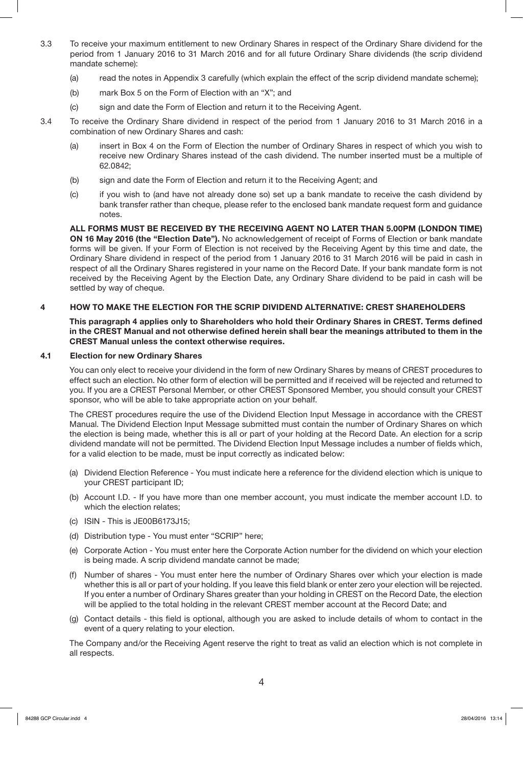- 3.3 To receive your maximum entitlement to new Ordinary Shares in respect of the Ordinary Share dividend for the period from 1 January 2016 to 31 March 2016 and for all future Ordinary Share dividends (the scrip dividend mandate scheme):
	- (a) read the notes in Appendix 3 carefully (which explain the effect of the scrip dividend mandate scheme);
	- (b) mark Box 5 on the Form of Election with an "X"; and
	- (c) sign and date the Form of Election and return it to the Receiving Agent.
- 3.4 To receive the Ordinary Share dividend in respect of the period from 1 January 2016 to 31 March 2016 in a combination of new Ordinary Shares and cash:
	- (a) insert in Box 4 on the Form of Election the number of Ordinary Shares in respect of which you wish to receive new Ordinary Shares instead of the cash dividend. The number inserted must be a multiple of 62.0842;
	- (b) sign and date the Form of Election and return it to the Receiving Agent; and
	- (c) if you wish to (and have not already done so) set up a bank mandate to receive the cash dividend by bank transfer rather than cheque, please refer to the enclosed bank mandate request form and guidance notes.

**ALL FORMS MUST BE RECEIVED BY THE RECEIVING AGENT NO LATER THAN 5.00PM (LONDON TIME) ON 16 May 2016 (the "Election Date").** No acknowledgement of receipt of Forms of Election or bank mandate forms will be given. If your Form of Election is not received by the Receiving Agent by this time and date, the Ordinary Share dividend in respect of the period from 1 January 2016 to 31 March 2016 will be paid in cash in respect of all the Ordinary Shares registered in your name on the Record Date. If your bank mandate form is not received by the Receiving Agent by the Election Date, any Ordinary Share dividend to be paid in cash will be settled by way of cheque.

#### **4 HOW TO MAKE THE ELECTION FOR THE SCRIP DIVIDEND ALTERNATIVE: CREST SHAREHOLDERS**

**This paragraph 4 applies only to Shareholders who hold their Ordinary Shares in CREST. Terms defined in the CREST Manual and not otherwise defined herein shall bear the meanings attributed to them in the CREST Manual unless the context otherwise requires.** 

#### **4.1 Election for new Ordinary Shares**

You can only elect to receive your dividend in the form of new Ordinary Shares by means of CREST procedures to effect such an election. No other form of election will be permitted and if received will be rejected and returned to you. If you are a CREST Personal Member, or other CREST Sponsored Member, you should consult your CREST sponsor, who will be able to take appropriate action on your behalf.

The CREST procedures require the use of the Dividend Election Input Message in accordance with the CREST Manual. The Dividend Election Input Message submitted must contain the number of Ordinary Shares on which the election is being made, whether this is all or part of your holding at the Record Date. An election for a scrip dividend mandate will not be permitted. The Dividend Election Input Message includes a number of fields which, for a valid election to be made, must be input correctly as indicated below:

- (a) Dividend Election Reference You must indicate here a reference for the dividend election which is unique to your CREST participant ID;
- (b) Account I.D. If you have more than one member account, you must indicate the member account I.D. to which the election relates;
- (c) ISIN This is JE00B6173J15;
- (d) Distribution type You must enter "SCRIP" here;
- (e) Corporate Action You must enter here the Corporate Action number for the dividend on which your election is being made. A scrip dividend mandate cannot be made;
- (f) Number of shares You must enter here the number of Ordinary Shares over which your election is made whether this is all or part of your holding. If you leave this field blank or enter zero your election will be rejected. If you enter a number of Ordinary Shares greater than your holding in CREST on the Record Date, the election will be applied to the total holding in the relevant CREST member account at the Record Date; and
- (g) Contact details this field is optional, although you are asked to include details of whom to contact in the event of a query relating to your election.

The Company and/or the Receiving Agent reserve the right to treat as valid an election which is not complete in all respects.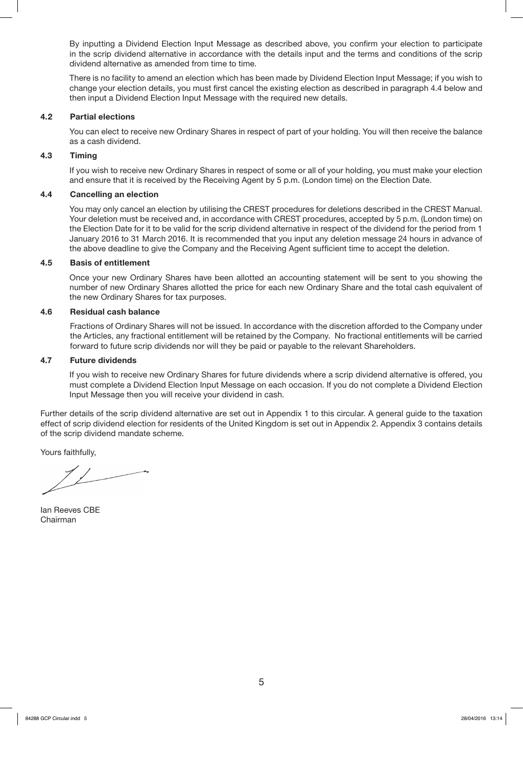By inputting a Dividend Election Input Message as described above, you confirm your election to participate in the scrip dividend alternative in accordance with the details input and the terms and conditions of the scrip dividend alternative as amended from time to time.

There is no facility to amend an election which has been made by Dividend Election Input Message; if you wish to change your election details, you must first cancel the existing election as described in paragraph 4.4 below and then input a Dividend Election Input Message with the required new details.

#### **4.2 Partial elections**

You can elect to receive new Ordinary Shares in respect of part of your holding. You will then receive the balance as a cash dividend.

#### **4.3 Timing**

If you wish to receive new Ordinary Shares in respect of some or all of your holding, you must make your election and ensure that it is received by the Receiving Agent by 5 p.m. (London time) on the Election Date.

#### **4.4 Cancelling an election**

You may only cancel an election by utilising the CREST procedures for deletions described in the CREST Manual. Your deletion must be received and, in accordance with CREST procedures, accepted by 5 p.m. (London time) on the Election Date for it to be valid for the scrip dividend alternative in respect of the dividend for the period from 1 January 2016 to 31 March 2016. It is recommended that you input any deletion message 24 hours in advance of the above deadline to give the Company and the Receiving Agent sufficient time to accept the deletion.

#### **4.5 Basis of entitlement**

Once your new Ordinary Shares have been allotted an accounting statement will be sent to you showing the number of new Ordinary Shares allotted the price for each new Ordinary Share and the total cash equivalent of the new Ordinary Shares for tax purposes.

#### **4.6 Residual cash balance**

Fractions of Ordinary Shares will not be issued. In accordance with the discretion afforded to the Company under the Articles, any fractional entitlement will be retained by the Company. No fractional entitlements will be carried forward to future scrip dividends nor will they be paid or payable to the relevant Shareholders.

#### **4.7 Future dividends**

If you wish to receive new Ordinary Shares for future dividends where a scrip dividend alternative is offered, you must complete a Dividend Election Input Message on each occasion. If you do not complete a Dividend Election Input Message then you will receive your dividend in cash.

Further details of the scrip dividend alternative are set out in Appendix 1 to this circular. A general guide to the taxation effect of scrip dividend election for residents of the United Kingdom is set out in Appendix 2. Appendix 3 contains details of the scrip dividend mandate scheme.

Yours faithfully,

Ian Reeves CBE Chairman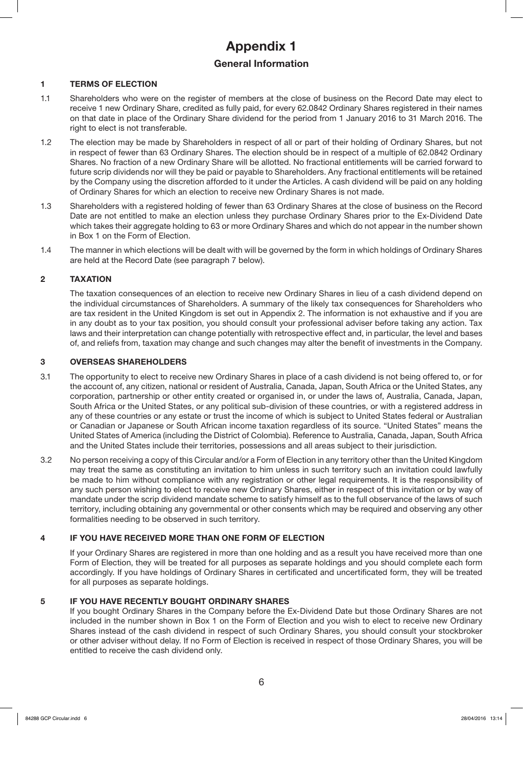# **Appendix 1 General Information**

#### **1 TERMS OF ELECTION**

- 1.1 Shareholders who were on the register of members at the close of business on the Record Date may elect to receive 1 new Ordinary Share, credited as fully paid, for every 62.0842 Ordinary Shares registered in their names on that date in place of the Ordinary Share dividend for the period from 1 January 2016 to 31 March 2016. The right to elect is not transferable.
- 1.2 The election may be made by Shareholders in respect of all or part of their holding of Ordinary Shares, but not in respect of fewer than 63 Ordinary Shares. The election should be in respect of a multiple of 62.0842 Ordinary Shares. No fraction of a new Ordinary Share will be allotted. No fractional entitlements will be carried forward to future scrip dividends nor will they be paid or payable to Shareholders. Any fractional entitlements will be retained by the Company using the discretion afforded to it under the Articles. A cash dividend will be paid on any holding of Ordinary Shares for which an election to receive new Ordinary Shares is not made.
- 1.3 Shareholders with a registered holding of fewer than 63 Ordinary Shares at the close of business on the Record Date are not entitled to make an election unless they purchase Ordinary Shares prior to the Ex-Dividend Date which takes their aggregate holding to 63 or more Ordinary Shares and which do not appear in the number shown in Box 1 on the Form of Election.
- 1.4 The manner in which elections will be dealt with will be governed by the form in which holdings of Ordinary Shares are held at the Record Date (see paragraph 7 below).

#### **2 TAXATION**

The taxation consequences of an election to receive new Ordinary Shares in lieu of a cash dividend depend on the individual circumstances of Shareholders. A summary of the likely tax consequences for Shareholders who are tax resident in the United Kingdom is set out in Appendix 2. The information is not exhaustive and if you are in any doubt as to your tax position, you should consult your professional adviser before taking any action. Tax laws and their interpretation can change potentially with retrospective effect and, in particular, the level and bases of, and reliefs from, taxation may change and such changes may alter the benefit of investments in the Company.

#### **3 OVERSEAS SHAREHOLDERS**

- 3.1 The opportunity to elect to receive new Ordinary Shares in place of a cash dividend is not being offered to, or for the account of, any citizen, national or resident of Australia, Canada, Japan, South Africa or the United States, any corporation, partnership or other entity created or organised in, or under the laws of, Australia, Canada, Japan, South Africa or the United States, or any political sub-division of these countries, or with a registered address in any of these countries or any estate or trust the income of which is subject to United States federal or Australian or Canadian or Japanese or South African income taxation regardless of its source. "United States" means the United States of America (including the District of Colombia). Reference to Australia, Canada, Japan, South Africa and the United States include their territories, possessions and all areas subject to their jurisdiction.
- 3.2 No person receiving a copy of this Circular and/or a Form of Election in any territory other than the United Kingdom may treat the same as constituting an invitation to him unless in such territory such an invitation could lawfully be made to him without compliance with any registration or other legal requirements. It is the responsibility of any such person wishing to elect to receive new Ordinary Shares, either in respect of this invitation or by way of mandate under the scrip dividend mandate scheme to satisfy himself as to the full observance of the laws of such territory, including obtaining any governmental or other consents which may be required and observing any other formalities needing to be observed in such territory.

#### **4 IF YOU HAVE RECEIVED MORE THAN ONE FORM OF ELECTION**

If your Ordinary Shares are registered in more than one holding and as a result you have received more than one Form of Election, they will be treated for all purposes as separate holdings and you should complete each form accordingly. If you have holdings of Ordinary Shares in certificated and uncertificated form, they will be treated for all purposes as separate holdings.

#### **5 IF YOU HAVE RECENTLY BOUGHT ORDINARY SHARES**

If you bought Ordinary Shares in the Company before the Ex-Dividend Date but those Ordinary Shares are not included in the number shown in Box 1 on the Form of Election and you wish to elect to receive new Ordinary Shares instead of the cash dividend in respect of such Ordinary Shares, you should consult your stockbroker or other adviser without delay. If no Form of Election is received in respect of those Ordinary Shares, you will be entitled to receive the cash dividend only.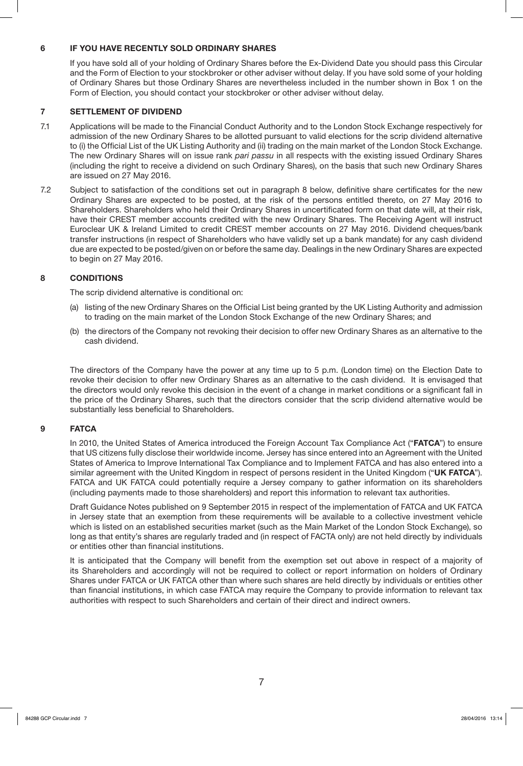#### **6 IF YOU HAVE RECENTLY SOLD ORDINARY SHARES**

If you have sold all of your holding of Ordinary Shares before the Ex-Dividend Date you should pass this Circular and the Form of Election to your stockbroker or other adviser without delay. If you have sold some of your holding of Ordinary Shares but those Ordinary Shares are nevertheless included in the number shown in Box 1 on the Form of Election, you should contact your stockbroker or other adviser without delay.

#### **7 SETTLEMENT OF DIVIDEND**

- 7.1 Applications will be made to the Financial Conduct Authority and to the London Stock Exchange respectively for admission of the new Ordinary Shares to be allotted pursuant to valid elections for the scrip dividend alternative to (i) the Official List of the UK Listing Authority and (ii) trading on the main market of the London Stock Exchange. The new Ordinary Shares will on issue rank *pari passu* in all respects with the existing issued Ordinary Shares (including the right to receive a dividend on such Ordinary Shares), on the basis that such new Ordinary Shares are issued on 27 May 2016.
- 7.2 Subject to satisfaction of the conditions set out in paragraph 8 below, definitive share certificates for the new Ordinary Shares are expected to be posted, at the risk of the persons entitled thereto, on 27 May 2016 to Shareholders. Shareholders who held their Ordinary Shares in uncertificated form on that date will, at their risk, have their CREST member accounts credited with the new Ordinary Shares. The Receiving Agent will instruct Euroclear UK & Ireland Limited to credit CREST member accounts on 27 May 2016. Dividend cheques/bank transfer instructions (in respect of Shareholders who have validly set up a bank mandate) for any cash dividend due are expected to be posted/given on or before the same day. Dealings in the new Ordinary Shares are expected to begin on 27 May 2016.

#### **8 CONDITIONS**

The scrip dividend alternative is conditional on:

- (a) listing of the new Ordinary Shares on the Official List being granted by the UK Listing Authority and admission to trading on the main market of the London Stock Exchange of the new Ordinary Shares; and
- (b) the directors of the Company not revoking their decision to offer new Ordinary Shares as an alternative to the cash dividend.

The directors of the Company have the power at any time up to 5 p.m. (London time) on the Election Date to revoke their decision to offer new Ordinary Shares as an alternative to the cash dividend. It is envisaged that the directors would only revoke this decision in the event of a change in market conditions or a significant fall in the price of the Ordinary Shares, such that the directors consider that the scrip dividend alternative would be substantially less beneficial to Shareholders.

#### **9 FATCA**

In 2010, the United States of America introduced the Foreign Account Tax Compliance Act ("**FATCA**") to ensure that US citizens fully disclose their worldwide income. Jersey has since entered into an Agreement with the United States of America to Improve International Tax Compliance and to Implement FATCA and has also entered into a similar agreement with the United Kingdom in respect of persons resident in the United Kingdom ("**UK FATCA**"). FATCA and UK FATCA could potentially require a Jersey company to gather information on its shareholders (including payments made to those shareholders) and report this information to relevant tax authorities.

Draft Guidance Notes published on 9 September 2015 in respect of the implementation of FATCA and UK FATCA in Jersey state that an exemption from these requirements will be available to a collective investment vehicle which is listed on an established securities market (such as the Main Market of the London Stock Exchange), so long as that entity's shares are regularly traded and (in respect of FACTA only) are not held directly by individuals or entities other than financial institutions.

It is anticipated that the Company will benefit from the exemption set out above in respect of a majority of its Shareholders and accordingly will not be required to collect or report information on holders of Ordinary Shares under FATCA or UK FATCA other than where such shares are held directly by individuals or entities other than financial institutions, in which case FATCA may require the Company to provide information to relevant tax authorities with respect to such Shareholders and certain of their direct and indirect owners.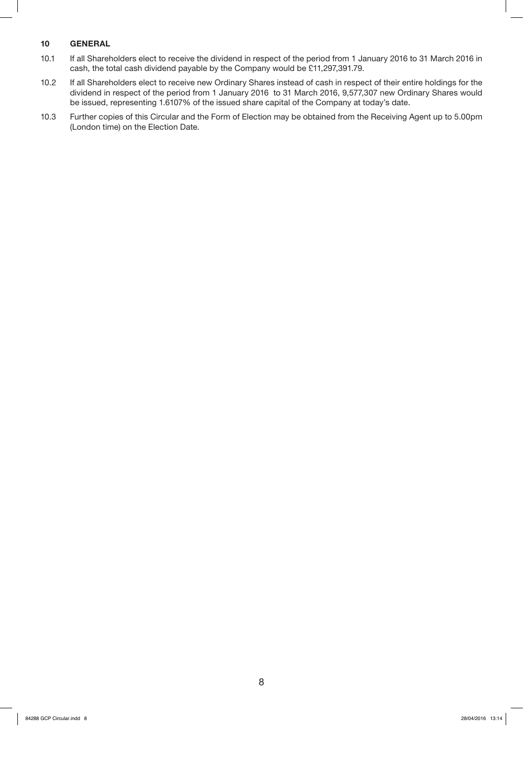### **10 GENERAL**

- 10.1 If all Shareholders elect to receive the dividend in respect of the period from 1 January 2016 to 31 March 2016 in cash, the total cash dividend payable by the Company would be £11,297,391.79.
- 10.2 If all Shareholders elect to receive new Ordinary Shares instead of cash in respect of their entire holdings for the dividend in respect of the period from 1 January 2016 to 31 March 2016, 9,577,307 new Ordinary Shares would be issued, representing 1.6107% of the issued share capital of the Company at today's date.
- 10.3 Further copies of this Circular and the Form of Election may be obtained from the Receiving Agent up to 5.00pm (London time) on the Election Date.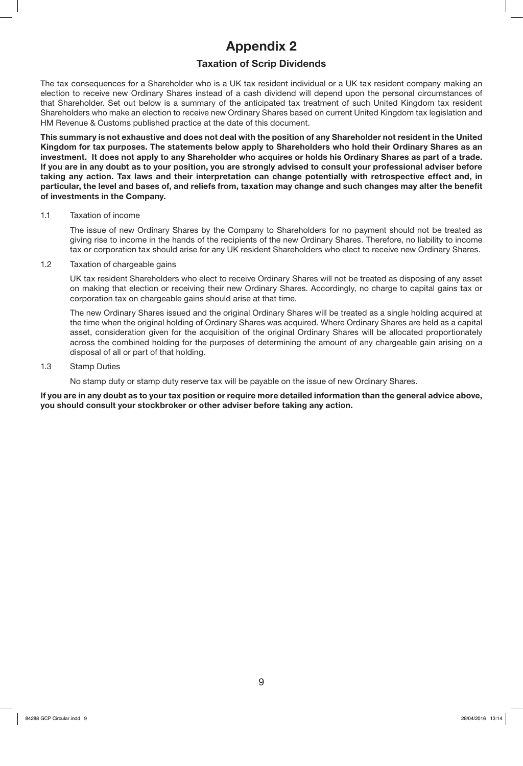# **Appendix 2**

## **Taxation of Scrip Dividends**

The tax consequences for a Shareholder who is a UK tax resident individual or a UK tax resident company making an election to receive new Ordinary Shares instead of a cash dividend will depend upon the personal circumstances of that Shareholder. Set out below is a summary of the anticipated tax treatment of such United Kingdom tax resident Shareholders who make an election to receive new Ordinary Shares based on current United Kingdom tax legislation and HM Revenue & Customs published practice at the date of this document.

**This summary is not exhaustive and does not deal with the position of any Shareholder not resident in the United Kingdom for tax purposes. The statements below apply to Shareholders who hold their Ordinary Shares as an investment. It does not apply to any Shareholder who acquires or holds his Ordinary Shares as part of a trade. If you are in any doubt as to your position, you are strongly advised to consult your professional adviser before taking any action. Tax laws and their interpretation can change potentially with retrospective effect and, in particular, the level and bases of, and reliefs from, taxation may change and such changes may alter the benefit of investments in the Company.**

#### 1.1 Taxation of income

The issue of new Ordinary Shares by the Company to Shareholders for no payment should not be treated as giving rise to income in the hands of the recipients of the new Ordinary Shares. Therefore, no liability to income tax or corporation tax should arise for any UK resident Shareholders who elect to receive new Ordinary Shares.

1.2 Taxation of chargeable gains

UK tax resident Shareholders who elect to receive Ordinary Shares will not be treated as disposing of any asset on making that election or receiving their new Ordinary Shares. Accordingly, no charge to capital gains tax or corporation tax on chargeable gains should arise at that time.

The new Ordinary Shares issued and the original Ordinary Shares will be treated as a single holding acquired at the time when the original holding of Ordinary Shares was acquired. Where Ordinary Shares are held as a capital asset, consideration given for the acquisition of the original Ordinary Shares will be allocated proportionately across the combined holding for the purposes of determining the amount of any chargeable gain arising on a disposal of all or part of that holding.

#### 1.3 Stamp Duties

No stamp duty or stamp duty reserve tax will be payable on the issue of new Ordinary Shares.

**If you are in any doubt as to your tax position or require more detailed information than the general advice above, you should consult your stockbroker or other adviser before taking any action.**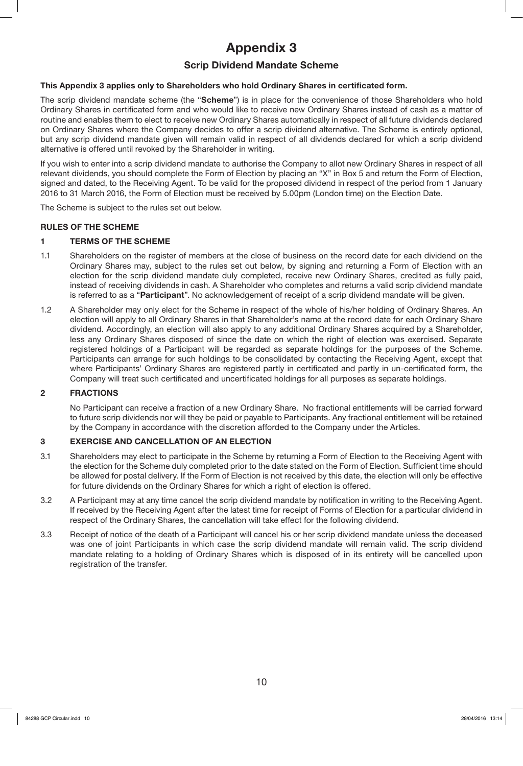# **Appendix 3**

## **Scrip Dividend Mandate Scheme**

#### **This Appendix 3 applies only to Shareholders who hold Ordinary Shares in certificated form.**

The scrip dividend mandate scheme (the "**Scheme**") is in place for the convenience of those Shareholders who hold Ordinary Shares in certificated form and who would like to receive new Ordinary Shares instead of cash as a matter of routine and enables them to elect to receive new Ordinary Shares automatically in respect of all future dividends declared on Ordinary Shares where the Company decides to offer a scrip dividend alternative. The Scheme is entirely optional, but any scrip dividend mandate given will remain valid in respect of all dividends declared for which a scrip dividend alternative is offered until revoked by the Shareholder in writing.

If you wish to enter into a scrip dividend mandate to authorise the Company to allot new Ordinary Shares in respect of all relevant dividends, you should complete the Form of Election by placing an "X" in Box 5 and return the Form of Election, signed and dated, to the Receiving Agent. To be valid for the proposed dividend in respect of the period from 1 January 2016 to 31 March 2016, the Form of Election must be received by 5.00pm (London time) on the Election Date.

The Scheme is subject to the rules set out below.

#### **RULES OF THE SCHEME**

#### **1 TERMS OF THE SCHEME**

- 1.1 Shareholders on the register of members at the close of business on the record date for each dividend on the Ordinary Shares may, subject to the rules set out below, by signing and returning a Form of Election with an election for the scrip dividend mandate duly completed, receive new Ordinary Shares, credited as fully paid, instead of receiving dividends in cash. A Shareholder who completes and returns a valid scrip dividend mandate is referred to as a "**Participant**". No acknowledgement of receipt of a scrip dividend mandate will be given.
- 1.2 A Shareholder may only elect for the Scheme in respect of the whole of his/her holding of Ordinary Shares. An election will apply to all Ordinary Shares in that Shareholder's name at the record date for each Ordinary Share dividend. Accordingly, an election will also apply to any additional Ordinary Shares acquired by a Shareholder, less any Ordinary Shares disposed of since the date on which the right of election was exercised. Separate registered holdings of a Participant will be regarded as separate holdings for the purposes of the Scheme. Participants can arrange for such holdings to be consolidated by contacting the Receiving Agent, except that where Participants' Ordinary Shares are registered partly in certificated and partly in un-certificated form, the Company will treat such certificated and uncertificated holdings for all purposes as separate holdings.

#### **2 FRACTIONS**

No Participant can receive a fraction of a new Ordinary Share. No fractional entitlements will be carried forward to future scrip dividends nor will they be paid or payable to Participants. Any fractional entitlement will be retained by the Company in accordance with the discretion afforded to the Company under the Articles.

#### **3 EXERCISE AND CANCELLATION OF AN ELECTION**

- 3.1 Shareholders may elect to participate in the Scheme by returning a Form of Election to the Receiving Agent with the election for the Scheme duly completed prior to the date stated on the Form of Election. Sufficient time should be allowed for postal delivery. If the Form of Election is not received by this date, the election will only be effective for future dividends on the Ordinary Shares for which a right of election is offered.
- 3.2 A Participant may at any time cancel the scrip dividend mandate by notification in writing to the Receiving Agent. If received by the Receiving Agent after the latest time for receipt of Forms of Election for a particular dividend in respect of the Ordinary Shares, the cancellation will take effect for the following dividend.
- 3.3 Receipt of notice of the death of a Participant will cancel his or her scrip dividend mandate unless the deceased was one of joint Participants in which case the scrip dividend mandate will remain valid. The scrip dividend mandate relating to a holding of Ordinary Shares which is disposed of in its entirety will be cancelled upon registration of the transfer.